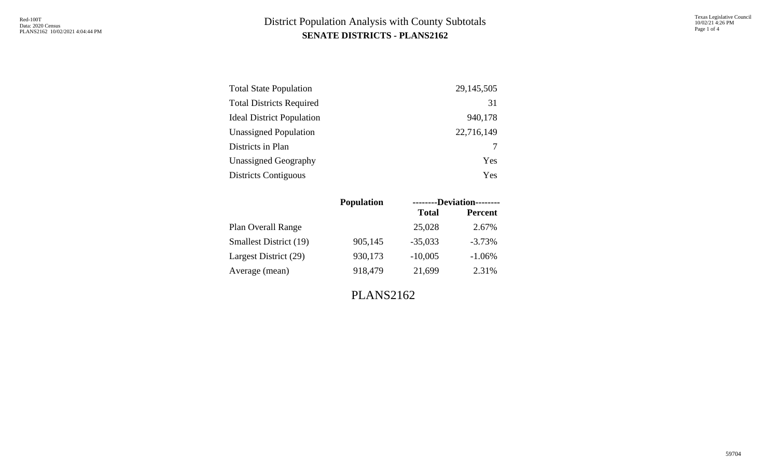| <b>Total State Population</b>    | 29, 145, 505 |
|----------------------------------|--------------|
| <b>Total Districts Required</b>  | 31           |
| <b>Ideal District Population</b> | 940,178      |
| <b>Unassigned Population</b>     | 22,716,149   |
| Districts in Plan                |              |
| <b>Unassigned Geography</b>      | Yes          |
| <b>Districts Contiguous</b>      | Yes          |

|                               | <b>Population</b> | --------Deviation-------- |                |  |  |  |  |
|-------------------------------|-------------------|---------------------------|----------------|--|--|--|--|
|                               |                   | <b>Total</b>              | <b>Percent</b> |  |  |  |  |
| Plan Overall Range            |                   | 25,028                    | 2.67%          |  |  |  |  |
| <b>Smallest District (19)</b> | 905,145           | $-35,033$                 | $-3.73%$       |  |  |  |  |
| Largest District (29)         | 930,173           | $-10,005$                 | $-1.06%$       |  |  |  |  |
| Average (mean)                | 918,479           | 21,699                    | 2.31%          |  |  |  |  |
|                               |                   |                           |                |  |  |  |  |

PLANS2162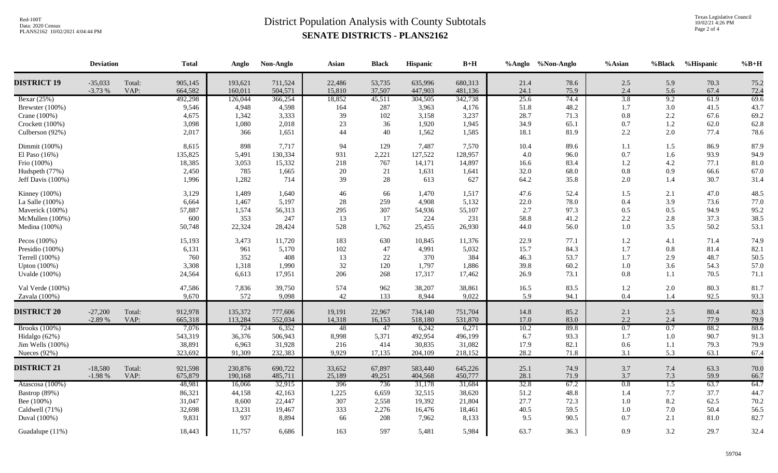Texas Legislative Council 10/02/21 4:26 PM Page 2 of 4

|                      | <b>Deviation</b>      |                | <b>Total</b>       | Anglo              | Non-Anglo          | Asian            | <b>Black</b>     | Hispanic           | $\mathbf{B}+\mathbf{H}$ |              | %Anglo %Non-Anglo | %Asian           | %Black           | %Hispanic    | $%B+H$       |
|----------------------|-----------------------|----------------|--------------------|--------------------|--------------------|------------------|------------------|--------------------|-------------------------|--------------|-------------------|------------------|------------------|--------------|--------------|
| <b>DISTRICT 19</b>   | $-35,033$<br>$-3.73%$ | Total:<br>VAP: | 905,145<br>664,582 | 193,621<br>160,011 | 711,524<br>504,571 | 22,486<br>15,810 | 53,735<br>37,507 | 635,996<br>447,903 | 680,313<br>481,136      | 21.4<br>24.1 | 78.6<br>75.9      | 2.5<br>2.4       | 5.9<br>5.6       | 70.3<br>67.4 | 75.2<br>72.4 |
| Bexar $(25%)$        |                       |                | 492,298            | 126,044            | 366,254            | 18,852           | 45,511           | 304,505            | 342,738                 | 25.6         | 74.4              | 3.8              | 9.2              | 61.9         | 69.6         |
| Brewster (100%)      |                       |                | 9,546              | 4,948              | 4,598              | 164              | 287              | 3,963              | 4,176                   | 51.8         | 48.2              | 1.7              | 3.0              | 41.5         | 43.7         |
| Crane $(100\%)$      |                       |                | 4,675              | 1,342              | 3,333              | 39               | 102              | 3,158              | 3,237                   | 28.7         | 71.3              | 0.8              | 2.2              | 67.6         | 69.2         |
| Crockett (100%)      |                       |                | 3,098              | 1,080              | 2,018              | 23               | 36               | 1,920              | 1,945                   | 34.9         | 65.1              | 0.7              | 1.2              | 62.0         | 62.8         |
| Culberson (92%)      |                       |                | 2,017              | 366                | 1,651              | 44               | 40               | 1,562              | 1,585                   | 18.1         | 81.9              | 2.2              | 2.0              | 77.4         | 78.6         |
| Dimmit (100%)        |                       |                | 8,615              | 898                | 7,717              | 94               | 129              | 7,487              | 7,570                   | 10.4         | 89.6              | 1.1              | 1.5              | 86.9         | 87.9         |
| El Paso $(16\%)$     |                       |                | 135,825            | 5,491              | 130,334            | 931              | 2,221            | 127,522            | 128,957                 | 4.0          | 96.0              | 0.7              | 1.6              | 93.9         | 94.9         |
| Frio (100%)          |                       |                | 18,385             | 3,053              | 15,332             | 218              | 767              | 14,171             | 14,897                  | 16.6         | 83.4              | 1.2              | 4.2              | 77.1         | 81.0         |
| Hudspeth (77%)       |                       |                | 2,450              | 785                | 1,665              | 20               | 21               | 1,631              | 1,641                   | 32.0         | 68.0              | 0.8              | 0.9              | 66.6         | 67.0         |
| Jeff Davis (100%)    |                       |                | 1,996              | 1,282              | 714                | 39               | 28               | 613                | 627                     | 64.2         | 35.8              | 2.0              | 1.4              | 30.7         | 31.4         |
| Kinney $(100\%)$     |                       |                | 3,129              | 1,489              | 1,640              | 46               | 66               | 1,470              | 1,517                   | 47.6         | 52.4              | 1.5              | 2.1              | 47.0         | 48.5         |
| La Salle (100%)      |                       |                | 6,664              | 1,467              | 5,197              | 28               | 259              | 4,908              | 5,132                   | 22.0         | 78.0              | 0.4              | 3.9              | 73.6         | 77.0         |
| Maverick (100%)      |                       |                | 57,887             | 1,574              | 56,313             | 295              | 307              | 54,936             | 55,107                  | 2.7          | 97.3              | 0.5              | 0.5              | 94.9         | 95.2         |
| McMullen (100%)      |                       |                | 600                | 353                | 247                | 13               | 17               | 224                | 231                     | 58.8         | 41.2              | 2.2              | 2.8              | 37.3         | 38.5         |
| Medina (100%)        |                       |                | 50,748             | 22,324             | 28,424             | 528              | 1,762            | 25,455             | 26,930                  | 44.0         | 56.0              | 1.0              | 3.5              | 50.2         | 53.1         |
| Pecos (100%)         |                       |                | 15,193             | 3,473              | 11,720             | 183              | 630              | 10,845             | 11,376                  | 22.9         | 77.1              | 1.2              | 4.1              | 71.4         | 74.9         |
| Presidio (100%)      |                       |                | 6,131              | 961                | 5,170              | 102              | 47               | 4,991              | 5,032                   | 15.7         | 84.3              | 1.7              | 0.8              | 81.4         | 82.1         |
| Terrell (100%)       |                       |                | 760                | 352                | 408                | 13               | $22\,$           | 370                | 384                     | 46.3         | 53.7              | 1.7              | 2.9              | 48.7         | 50.5         |
| Upton (100%)         |                       |                | 3,308              | 1,318              | 1,990              | 32               | 120              | 1,797              | 1,886                   | 39.8         | 60.2              | 1.0              | 3.6              | 54.3         | 57.0         |
| Uvalde (100%)        |                       |                | 24,564             | 6,613              | 17,951             | 206              | 268              | 17,317             | 17,462                  | 26.9         | 73.1              | 0.8              | 1.1              | 70.5         | 71.1         |
| Val Verde (100%)     |                       |                | 47,586             | 7,836              | 39,750             | 574              | 962              | 38,207             | 38,861                  | 16.5         | 83.5              | $1.2\,$          | 2.0              | 80.3         | 81.7         |
| Zavala (100%)        |                       |                | 9,670              | 572                | 9,098              | $42\,$           | 133              | 8,944              | 9,022                   | 5.9          | 94.1              | $0.4\,$          | 1.4              | 92.5         | 93.3         |
| <b>DISTRICT 20</b>   | $-27,200$             | Total:         | 912,978            | 135,372            | 777,606            | 19,191           | 22,967           | 734,140            | 751,704                 | 14.8         | 85.2              | 2.1              | 2.5              | 80.4         | 82.3         |
|                      | $-2.89%$              | VAP:           | 665,318            | 113,284            | 552,034            | 14,318           | 16,153           | 518,180            | 531,870                 | 17.0         | 83.0              | 2.2              | 2.4              | 77.9         | 79.9         |
| <b>Brooks</b> (100%) |                       |                | 7,076              | 724                | 6,352              | 48               | 47               | 6,242              | 6,271                   | 10.2         | 89.8              | 0.7              | 0.7              | 88.2         | 88.6         |
| Hidalgo (62%)        |                       |                | 543,319            | 36,376             | 506,943            | 8,998            | 5,371            | 492,954            | 496,199                 | 6.7          | 93.3              | 1.7              | $1.0\,$          | 90.7         | 91.3         |
| Jim Wells (100%)     |                       |                | 38,891             | 6,963              | 31,928             | 216              | 414              | 30,835             | 31,082                  | 17.9         | 82.1              | 0.6              | 1.1              | 79.3         | 79.9         |
| Nueces (92%)         |                       |                | 323,692            | 91,309             | 232,383            | 9,929            | 17,135           | 204,109            | 218,152                 | 28.2         | 71.8              | 3.1              | 5.3              | 63.1         | 67.4         |
| <b>DISTRICT 21</b>   | $-18,580$             | Total:         | 921,598            | 230,876            | 690,722            | 33,652           | 67,897           | 583,440            | 645,226                 | 25.1         | 74.9              | 3.7              | 7.4              | 63.3         | 70.0         |
|                      | $-1.98%$              | VAP:           | 675,879            | 190,168            | 485,711            | 25,189           | 49,251           | 404,568            | 450,777                 | 28.1         | 71.9              | 3.7              | 7.3              | 59.9         | 66.7         |
| Atascosa (100%)      |                       |                | 48,981             | 16,066             | 32,915             | 396              | 736              | 31,178             | 31,684                  | 32.8         | 67.2              | $\overline{0.8}$ | $\overline{1.5}$ | 63.7         | 64.7         |
| Bastrop (89%)        |                       |                | 86,321             | 44,158             | 42,163             | 1,225            | 6,659            | 32,515             | 38,620                  | 51.2         | 48.8              | 1.4              | 7.7              | 37.7         | 44.7         |
| Bee (100%)           |                       |                | 31,047             | 8,600              | 22,447             | 307              | 2,558            | 19,392             | 21,804                  | 27.7         | 72.3              | 1.0              | 8.2              | 62.5         | 70.2         |
| Caldwell (71%)       |                       |                | 32,698             | 13,231             | 19,467             | 333              | 2,276            | 16,476             | 18,461                  | 40.5         | 59.5              | 1.0              | 7.0              | 50.4         | 56.5         |
| Duval (100%)         |                       |                | 9,831              | 937                | 8,894              | 66               | 208              | 7,962              | 8,133                   | 9.5          | 90.5              | 0.7              | 2.1              | 81.0         | 82.7         |
| Guadalupe (11%)      |                       |                | 18,443             | 11,757             | 6,686              | 163              | 597              | 5,481              | 5,984                   | 63.7         | 36.3              | 0.9              | 3.2              | 29.7         | 32.4         |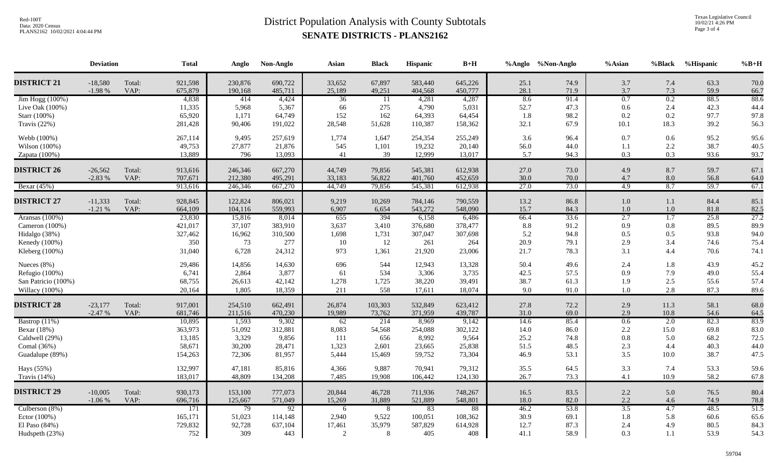Texas Legislative Council 10/02/21 4:26 PM Page 3 of 4

|                     | <b>Deviation</b>      |                | <b>Total</b>       | Anglo              | Non-Anglo          | Asian            | <b>Black</b>     | Hispanic           | $\mathbf{B}+\mathbf{H}$ |                 | %Anglo %Non-Anglo | %Asian     | %Black     | %Hispanic    | $%B+H$              |
|---------------------|-----------------------|----------------|--------------------|--------------------|--------------------|------------------|------------------|--------------------|-------------------------|-----------------|-------------------|------------|------------|--------------|---------------------|
| <b>DISTRICT 21</b>  | $-18,580$             | Total:         | 921,598            | 230,876            | 690,722            | 33,652           | 67,897           | 583,440            | 645,226                 | 25.1            | 74.9              | 3.7        | 7.4        | 63.3         | 70.0                |
| Jim Hogg (100%)     | $-1.98%$              | VAP:           | 675,879<br>4,838   | 190,168<br>414     | 485,711<br>4,424   | 25,189<br>36     | 49,251           | 404,568<br>4,281   | 450,777<br>4,287        | 28.1<br>8.6     | 71.9<br>91.4      | 3.7<br>0.7 | 7.3<br>0.2 | 59.9<br>88.5 | 66.7<br>88.6        |
| Live Oak $(100\%)$  |                       |                | 11,335             | 5,968              | 5,367              | 66               | -11<br>275       | 4,790              | 5,031                   | 52.7            | 47.3              | 0.6        | 2.4        | 42.3         | 44.4                |
| Starr (100%)        |                       |                | 65,920             | 1,171              | 64,749             | 152              | 162              | 64,393             | 64,454                  | 1.8             | 98.2              | 0.2        | 0.2        | 97.7         | 97.8                |
| Travis (22%)        |                       |                | 281,428            | 90,406             | 191,022            | 28,548           | 51,628           | 110,387            | 158,362                 | 32.1            | 67.9              | 10.1       | 18.3       | 39.2         | 56.3                |
| Webb (100%)         |                       |                | 267,114            | 9,495              | 257,619            | 1,774            | 1,647            | 254,354            | 255,249                 | 3.6             | 96.4              | 0.7        | 0.6        | 95.2         | 95.6                |
| Wilson (100%)       |                       |                | 49,753             | 27,877             | 21,876             | 545              | 1,101            | 19,232             | 20,140                  | 56.0            | 44.0              | 1.1        | 2.2        | 38.7         | 40.5                |
| Zapata $(100\%)$    |                       |                | 13,889             | 796                | 13,093             | 41               | 39               | 12,999             | 13,017                  | 5.7             | 94.3              | 0.3        | 0.3        | 93.6         | 93.7                |
| <b>DISTRICT 26</b>  | $-26,562$<br>$-2.83%$ | Total:<br>VAP: | 913,616<br>707,671 | 246,346<br>212,380 | 667,270<br>495,291 | 44,749<br>33,183 | 79,856<br>56,822 | 545,381<br>401,760 | 612,938<br>452,659      | 27.0<br>30.0    | 73.0<br>70.0      | 4.9<br>4.7 | 8.7<br>8.0 | 59.7<br>56.8 | 67.1<br>64.0        |
| Bexar (45%)         |                       |                | 913,616            | 246,346            | 667,270            | 44,749           | 79,856           | 545,381            | 612,938                 | 27.0            | 73.0              | 4.9        | 8.7        | 59.7         | 67.1                |
| <b>DISTRICT 27</b>  | $-11,333$             | Total:         | 928,845            | 122,824            | 806,021            | 9,219            | 10,269           | 784,146            | 790,559                 | 13.2            | 86.8              | 1.0        | 1.1        | 84.4         | 85.1                |
|                     | $-1.21%$              | VAP:           | 664,109            | 104,116            | 559,993            | 6,907            | 6,654            | 543,272            | 548,090                 | 15.7            | 84.3              | 1.0        | $1.0\,$    | 81.8         |                     |
| Aransas (100%)      |                       |                | 23,830             | 15,816             | 8,014              | 655              | 394              | 6,158              | 6,486                   | 66.4            | 33.6              | 2.7        | 1.7        | 25.8         | $\frac{82.5}{27.2}$ |
| Cameron (100%)      |                       |                | 421,017            | 37,107             | 383,910            | 3,637            | 3,410            | 376,680            | 378,477                 | $\!\!\!\!\!8.8$ | 91.2              | 0.9        | $0.8\,$    | 89.5         | 89.9                |
| Hidalgo (38%)       |                       |                | 327,462            | 16,962             | 310,500            | 1,698            | 1,731            | 307,047            | 307,698                 | 5.2             | 94.8              | 0.5        | 0.5        | 93.8         | 94.0                |
| Kenedy (100%)       |                       |                | 350                | 73                 | 277                | 10               | 12               | 261                | 264                     | 20.9            | 79.1              | 2.9        | 3.4        | 74.6         | 75.4                |
| Kleberg (100%)      |                       |                | 31,040             | 6,728              | 24,312             | 973              | 1,361            | 21,920             | 23,006                  | 21.7            | 78.3              | 3.1        | 4.4        | 70.6         | 74.1                |
| Nueces (8%)         |                       |                | 29,486             | 14,856             | 14,630             | 696              | 544              | 12,943             | 13,328                  | 50.4            | 49.6              | 2.4        | 1.8        | 43.9         | 45.2                |
| Refugio (100%)      |                       |                | 6,741              | 2,864              | 3,877              | 61               | 534              | 3,306              | 3,735                   | 42.5            | 57.5              | 0.9        | 7.9        | 49.0         | 55.4                |
| San Patricio (100%) |                       |                | 68,755             | 26,613             | 42,142             | 1,278            | 1,725            | 38,220             | 39,491                  | 38.7            | 61.3              | 1.9        | 2.5        | 55.6         | 57.4                |
| Willacy (100%)      |                       |                | 20,164             | 1,805              | 18,359             | 211              | 558              | 17,611             | 18,074                  | 9.0             | 91.0              | 1.0        | 2.8        | 87.3         | 89.6                |
| <b>DISTRICT 28</b>  | $-23,177$             | Total:         | 917,001            | 254,510            | 662,491            | 26,874           | 103,303          | 532,849            | 623,412                 | 27.8            | 72.2              | 2.9        | 11.3       | 58.1         | 68.0                |
|                     | $-2.47%$              | VAP:           | 681,746            | 211,516            | 470,230            | 19,989           | 73,762           | 371,959            | 439,787                 | 31.0            | 69.0              | 2.9        | 10.8       | 54.6         | 64.5                |
| Bastrop (11%)       |                       |                | 10,895             | 1,593              | 9,302              | $\overline{62}$  | 214              | 8,969              | 9,142                   | 14.6            | 85.4              | 0.6        | 2.0        | 82.3         | 83.9                |
| Bexar (18%)         |                       |                | 363,973            | 51,092             | 312,881            | 8,083            | 54,568           | 254,088            | 302,122                 | 14.0            | 86.0              | 2.2        | 15.0       | 69.8         | 83.0                |
| Caldwell (29%)      |                       |                | 13,185             | 3,329              | 9,856              | 111              | 656              | 8,992              | 9,564                   | 25.2            | 74.8              | 0.8        | 5.0        | 68.2         | 72.5                |
| Comal (36%)         |                       |                | 58,671             | 30,200             | 28,471             | 1,323            | 2,601            | 23,665             | 25,838                  | 51.5            | 48.5              | 2.3        | 4.4        | 40.3         | 44.0                |
| Guadalupe (89%)     |                       |                | 154,263            | 72,306             | 81,957             | 5,444            | 15,469           | 59,752             | 73,304                  | 46.9            | 53.1              | 3.5        | 10.0       | 38.7         | 47.5                |
| Hays (55%)          |                       |                | 132,997            | 47,181             | 85,816             | 4,366            | 9,887            | 70,941             | 79,312                  | 35.5            | 64.5              | 3.3        | 7.4        | 53.3         | 59.6                |
| Travis $(14\%)$     |                       |                | 183,017            | 48,809             | 134,208            | 7,485            | 19,908           | 106,442            | 124,130                 | 26.7            | 73.3              | 4.1        | 10.9       | 58.2         | 67.8                |
| <b>DISTRICT 29</b>  | $-10,005$             | Total:         | 930,173            | 153,100            | 777,073            | 20,844           | 46,728           | 711,936            | 748,267                 | 16.5            | 83.5              | 2.2        | 5.0        | 76.5         | 80.4                |
|                     | $-1.06%$              | VAP:           | 696,716            | 125,667            | 571,049            | 15,269           | 31,889           | 521,889            | 548,801                 | 18.0            | 82.0              | 2.2        | 4.6        | 74.9         | 78.8                |
| Culberson (8%)      |                       |                | 171                | 79                 | $\overline{92}$    | 6                | 8                | 83                 | 88                      | 46.2            | 53.8              | 3.5        | 4.7        | 48.5         | 51.5                |
| Ector (100%)        |                       |                | 165,171            | 51,023             | 114,148            | 2,940            | 9,522            | 100,051            | 108,362                 | 30.9            | 69.1              | 1.8        | 5.8        | 60.6         | 65.6                |
| El Paso (84%)       |                       |                | 729,832            | 92,728             | 637,104            | 17,461           | 35,979           | 587,829            | 614,928                 | 12.7            | 87.3              | 2.4        | 4.9        | 80.5         | 84.3                |
| Hudspeth (23%)      |                       |                | 752                | 309                | 443                | 2                | 8                | 405                | 408                     | 41.1            | 58.9              | 0.3        | $1.1\,$    | 53.9         | 54.3                |